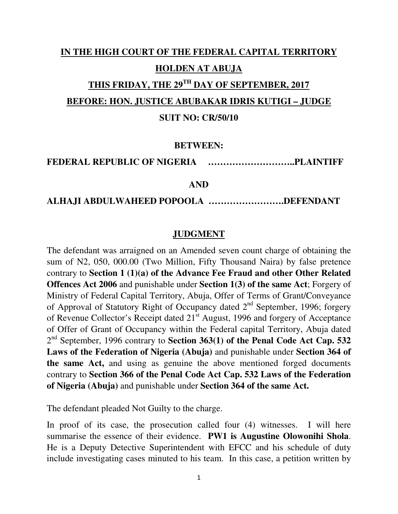# **IN THE HIGH COURT OF THE FEDERAL CAPITAL TERRITORY HOLDEN AT ABUJA THIS FRIDAY, THE 29TH DAY OF SEPTEMBER, 2017 BEFORE: HON. JUSTICE ABUBAKAR IDRIS KUTIGI – JUDGE**

#### **SUIT NO: CR/50/10**

#### **BETWEEN:**

#### **FEDERAL REPUBLIC OF NIGERIA ………………………..PLAINTIFF**

#### **AND**

#### **ALHAJI ABDULWAHEED POPOOLA …………………….DEFENDANT**

#### **JUDGMENT**

The defendant was arraigned on an Amended seven count charge of obtaining the sum of N2, 050, 000.00 (Two Million, Fifty Thousand Naira) by false pretence contrary to **Section 1 (1)(a) of the Advance Fee Fraud and other Other Related Offences Act 2006** and punishable under **Section 1(3) of the same Act**; Forgery of Ministry of Federal Capital Territory, Abuja, Offer of Terms of Grant/Conveyance of Approval of Statutory Right of Occupancy dated 2<sup>nd</sup> September, 1996; forgery of Revenue Collector's Receipt dated 21<sup>st</sup> August, 1996 and forgery of Acceptance of Offer of Grant of Occupancy within the Federal capital Territory, Abuja dated 2<sup>nd</sup> September, 1996 contrary to **Section 363(1) of the Penal Code Act Cap. 532 Laws of the Federation of Nigeria (Abuja)** and punishable under **Section 364 of the same Act,** and using as genuine the above mentioned forged documents contrary to **Section 366 of the Penal Code Act Cap. 532 Laws of the Federation of Nigeria (Abuja)** and punishable under **Section 364 of the same Act.**

The defendant pleaded Not Guilty to the charge.

In proof of its case, the prosecution called four (4) witnesses. I will here summarise the essence of their evidence. **PW1 is Augustine Olowonihi Shola**. He is a Deputy Detective Superintendent with EFCC and his schedule of duty include investigating cases minuted to his team. In this case, a petition written by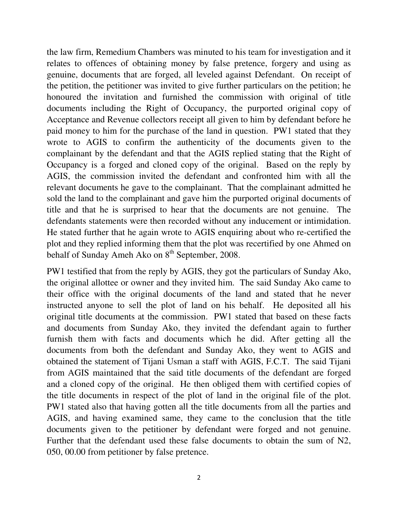the law firm, Remedium Chambers was minuted to his team for investigation and it relates to offences of obtaining money by false pretence, forgery and using as genuine, documents that are forged, all leveled against Defendant. On receipt of the petition, the petitioner was invited to give further particulars on the petition; he honoured the invitation and furnished the commission with original of title documents including the Right of Occupancy, the purported original copy of Acceptance and Revenue collectors receipt all given to him by defendant before he paid money to him for the purchase of the land in question. PW1 stated that they wrote to AGIS to confirm the authenticity of the documents given to the complainant by the defendant and that the AGIS replied stating that the Right of Occupancy is a forged and cloned copy of the original. Based on the reply by AGIS, the commission invited the defendant and confronted him with all the relevant documents he gave to the complainant. That the complainant admitted he sold the land to the complainant and gave him the purported original documents of title and that he is surprised to hear that the documents are not genuine. The defendants statements were then recorded without any inducement or intimidation. He stated further that he again wrote to AGIS enquiring about who re-certified the plot and they replied informing them that the plot was recertified by one Ahmed on behalf of Sunday Ameh Ako on  $8<sup>th</sup>$  September, 2008.

PW1 testified that from the reply by AGIS, they got the particulars of Sunday Ako, the original allottee or owner and they invited him. The said Sunday Ako came to their office with the original documents of the land and stated that he never instructed anyone to sell the plot of land on his behalf. He deposited all his original title documents at the commission. PW1 stated that based on these facts and documents from Sunday Ako, they invited the defendant again to further furnish them with facts and documents which he did. After getting all the documents from both the defendant and Sunday Ako, they went to AGIS and obtained the statement of Tijani Usman a staff with AGIS, F.C.T. The said Tijani from AGIS maintained that the said title documents of the defendant are forged and a cloned copy of the original. He then obliged them with certified copies of the title documents in respect of the plot of land in the original file of the plot. PW1 stated also that having gotten all the title documents from all the parties and AGIS, and having examined same, they came to the conclusion that the title documents given to the petitioner by defendant were forged and not genuine. Further that the defendant used these false documents to obtain the sum of N2, 050, 00.00 from petitioner by false pretence.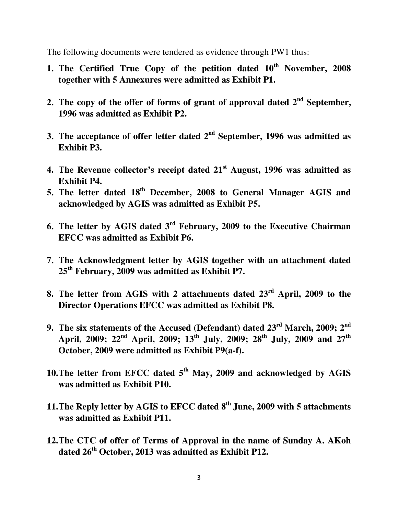The following documents were tendered as evidence through PW1 thus:

- **1. The Certified True Copy of the petition dated 10th November, 2008 together with 5 Annexures were admitted as Exhibit P1.**
- **2. The copy of the offer of forms of grant of approval dated 2nd September, 1996 was admitted as Exhibit P2.**
- **3. The acceptance of offer letter dated 2nd September, 1996 was admitted as Exhibit P3.**
- **4. The Revenue collector's receipt dated 21st August, 1996 was admitted as Exhibit P4.**
- **5. The letter dated 18th December, 2008 to General Manager AGIS and acknowledged by AGIS was admitted as Exhibit P5.**
- **6. The letter by AGIS dated 3rd February, 2009 to the Executive Chairman EFCC was admitted as Exhibit P6.**
- **7. The Acknowledgment letter by AGIS together with an attachment dated 25th February, 2009 was admitted as Exhibit P7.**
- **8. The letter from AGIS with 2 attachments dated 23rd April, 2009 to the Director Operations EFCC was admitted as Exhibit P8.**
- **9. The six statements of the Accused (Defendant) dated 23rd March, 2009; 2nd April, 2009; 22nd April, 2009; 13th July, 2009; 28th July, 2009 and 27th October, 2009 were admitted as Exhibit P9(a-f).**
- **10.The letter from EFCC dated 5th May, 2009 and acknowledged by AGIS was admitted as Exhibit P10.**
- **11.The Reply letter by AGIS to EFCC dated 8th June, 2009 with 5 attachments was admitted as Exhibit P11.**
- **12.The CTC of offer of Terms of Approval in the name of Sunday A. AKoh dated 26th October, 2013 was admitted as Exhibit P12.**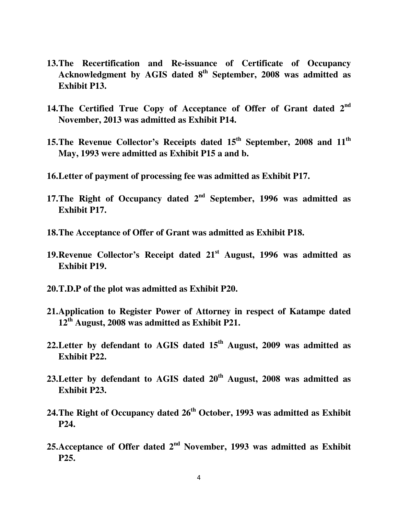- **13.The Recertification and Re-issuance of Certificate of Occupancy Acknowledgment by AGIS dated 8th September, 2008 was admitted as Exhibit P13.**
- **14.The Certified True Copy of Acceptance of Offer of Grant dated 2nd November, 2013 was admitted as Exhibit P14.**
- **15.The Revenue Collector's Receipts dated 15th September, 2008 and 11th May, 1993 were admitted as Exhibit P15 a and b.**
- **16.Letter of payment of processing fee was admitted as Exhibit P17.**
- **17.The Right of Occupancy dated 2nd September, 1996 was admitted as Exhibit P17.**
- **18.The Acceptance of Offer of Grant was admitted as Exhibit P18.**
- **19.Revenue Collector's Receipt dated 21st August, 1996 was admitted as Exhibit P19.**
- **20.T.D.P of the plot was admitted as Exhibit P20.**
- **21.Application to Register Power of Attorney in respect of Katampe dated 12th August, 2008 was admitted as Exhibit P21.**
- **22.Letter by defendant to AGIS dated 15th August, 2009 was admitted as Exhibit P22.**
- **23.Letter by defendant to AGIS dated 20th August, 2008 was admitted as Exhibit P23.**
- **24.The Right of Occupancy dated 26th October, 1993 was admitted as Exhibit P24.**
- **25.Acceptance of Offer dated 2nd November, 1993 was admitted as Exhibit P25.**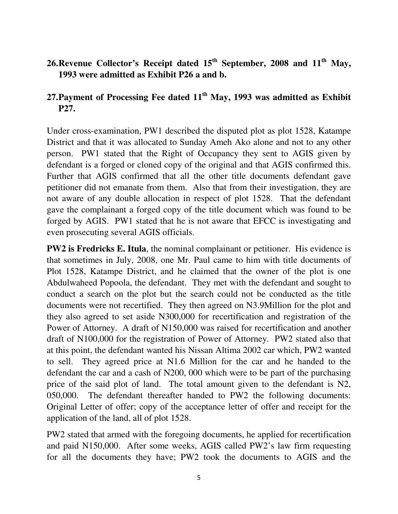### **26.Revenue Collector's Receipt dated 15th September, 2008 and 11th May, 1993 were admitted as Exhibit P26 a and b.**

### **27.Payment of Processing Fee dated 11th May, 1993 was admitted as Exhibit P27.**

Under cross-examination, PW1 described the disputed plot as plot 1528, Katampe District and that it was allocated to Sunday Ameh Ako alone and not to any other person. PW1 stated that the Right of Occupancy they sent to AGIS given by defendant is a forged or cloned copy of the original and that AGIS confirmed this. Further that AGIS confirmed that all the other title documents defendant gave petitioner did not emanate from them. Also that from their investigation, they are not aware of any double allocation in respect of plot 1528. That the defendant gave the complainant a forged copy of the title document which was found to be forged by AGIS. PW1 stated that he is not aware that EFCC is investigating and even prosecuting several AGIS officials.

**PW2 is Fredricks E. Itula**, the nominal complainant or petitioner. His evidence is that sometimes in July, 2008, one Mr. Paul came to him with title documents of Plot 1528, Katampe District, and he claimed that the owner of the plot is one Abdulwaheed Popoola, the defendant. They met with the defendant and sought to conduct a search on the plot but the search could not be conducted as the title documents were not recertified. They then agreed on N3.9Million for the plot and they also agreed to set aside N300,000 for recertification and registration of the Power of Attorney. A draft of N150,000 was raised for recertification and another draft of N100,000 for the registration of Power of Attorney. PW2 stated also that at this point, the defendant wanted his Nissan Altima 2002 car which, PW2 wanted to sell. They agreed price at N1.6 Million for the car and he handed to the defendant the car and a cash of N200, 000 which were to be part of the purchasing price of the said plot of land. The total amount given to the defendant is N2, 050,000. The defendant thereafter handed to PW2 the following documents: Original Letter of offer; copy of the acceptance letter of offer and receipt for the application of the land, all of plot 1528.

PW2 stated that armed with the foregoing documents, he applied for recertification and paid N150,000. After some weeks, AGIS called PW2's law firm requesting for all the documents they have; PW2 took the documents to AGIS and the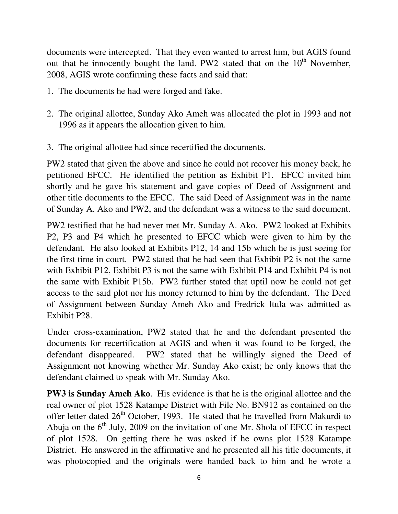documents were intercepted. That they even wanted to arrest him, but AGIS found out that he innocently bought the land. PW2 stated that on the  $10<sup>th</sup>$  November, 2008, AGIS wrote confirming these facts and said that:

- 1. The documents he had were forged and fake.
- 2. The original allottee, Sunday Ako Ameh was allocated the plot in 1993 and not 1996 as it appears the allocation given to him.
- 3. The original allottee had since recertified the documents.

PW2 stated that given the above and since he could not recover his money back, he petitioned EFCC. He identified the petition as Exhibit P1. EFCC invited him shortly and he gave his statement and gave copies of Deed of Assignment and other title documents to the EFCC. The said Deed of Assignment was in the name of Sunday A. Ako and PW2, and the defendant was a witness to the said document.

PW2 testified that he had never met Mr. Sunday A. Ako. PW2 looked at Exhibits P2, P3 and P4 which he presented to EFCC which were given to him by the defendant. He also looked at Exhibits P12, 14 and 15b which he is just seeing for the first time in court. PW2 stated that he had seen that Exhibit P2 is not the same with Exhibit P12, Exhibit P3 is not the same with Exhibit P14 and Exhibit P4 is not the same with Exhibit P15b. PW2 further stated that uptil now he could not get access to the said plot nor his money returned to him by the defendant. The Deed of Assignment between Sunday Ameh Ako and Fredrick Itula was admitted as Exhibit P28.

Under cross-examination, PW2 stated that he and the defendant presented the documents for recertification at AGIS and when it was found to be forged, the defendant disappeared. PW2 stated that he willingly signed the Deed of Assignment not knowing whether Mr. Sunday Ako exist; he only knows that the defendant claimed to speak with Mr. Sunday Ako.

**PW3 is Sunday Ameh Ako**. His evidence is that he is the original allottee and the real owner of plot 1528 Katampe District with File No. BN912 as contained on the offer letter dated  $26<sup>th</sup>$  October, 1993. He stated that he travelled from Makurdi to Abuja on the  $6<sup>th</sup>$  July, 2009 on the invitation of one Mr. Shola of EFCC in respect of plot 1528. On getting there he was asked if he owns plot 1528 Katampe District. He answered in the affirmative and he presented all his title documents, it was photocopied and the originals were handed back to him and he wrote a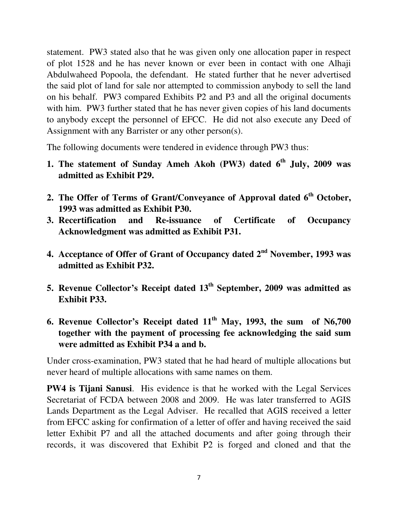statement. PW3 stated also that he was given only one allocation paper in respect of plot 1528 and he has never known or ever been in contact with one Alhaji Abdulwaheed Popoola, the defendant. He stated further that he never advertised the said plot of land for sale nor attempted to commission anybody to sell the land on his behalf. PW3 compared Exhibits P2 and P3 and all the original documents with him. PW3 further stated that he has never given copies of his land documents to anybody except the personnel of EFCC. He did not also execute any Deed of Assignment with any Barrister or any other person(s).

The following documents were tendered in evidence through PW3 thus:

- **1. The statement of Sunday Ameh Akoh (PW3) dated 6th July, 2009 was admitted as Exhibit P29.**
- **2. The Offer of Terms of Grant/Conveyance of Approval dated 6th October, 1993 was admitted as Exhibit P30.**
- **3. Recertification and Re-issuance of Certificate of Occupancy Acknowledgment was admitted as Exhibit P31.**
- **4. Acceptance of Offer of Grant of Occupancy dated 2nd November, 1993 was admitted as Exhibit P32.**
- **5. Revenue Collector's Receipt dated 13th September, 2009 was admitted as Exhibit P33.**
- **6. Revenue Collector's Receipt dated 11th May, 1993, the sum of N6,700 together with the payment of processing fee acknowledging the said sum were admitted as Exhibit P34 a and b.**

Under cross-examination, PW3 stated that he had heard of multiple allocations but never heard of multiple allocations with same names on them.

**PW4 is Tijani Sanusi**. His evidence is that he worked with the Legal Services Secretariat of FCDA between 2008 and 2009. He was later transferred to AGIS Lands Department as the Legal Adviser. He recalled that AGIS received a letter from EFCC asking for confirmation of a letter of offer and having received the said letter Exhibit P7 and all the attached documents and after going through their records, it was discovered that Exhibit P2 is forged and cloned and that the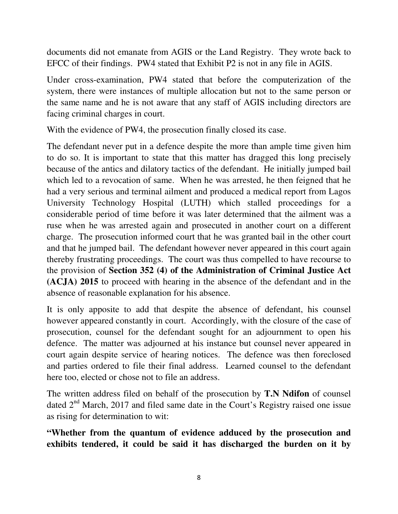documents did not emanate from AGIS or the Land Registry. They wrote back to EFCC of their findings. PW4 stated that Exhibit P2 is not in any file in AGIS.

Under cross-examination, PW4 stated that before the computerization of the system, there were instances of multiple allocation but not to the same person or the same name and he is not aware that any staff of AGIS including directors are facing criminal charges in court.

With the evidence of PW4, the prosecution finally closed its case.

The defendant never put in a defence despite the more than ample time given him to do so. It is important to state that this matter has dragged this long precisely because of the antics and dilatory tactics of the defendant. He initially jumped bail which led to a revocation of same. When he was arrested, he then feigned that he had a very serious and terminal ailment and produced a medical report from Lagos University Technology Hospital (LUTH) which stalled proceedings for a considerable period of time before it was later determined that the ailment was a ruse when he was arrested again and prosecuted in another court on a different charge. The prosecution informed court that he was granted bail in the other court and that he jumped bail. The defendant however never appeared in this court again thereby frustrating proceedings. The court was thus compelled to have recourse to the provision of **Section 352 (4) of the Administration of Criminal Justice Act (ACJA) 2015** to proceed with hearing in the absence of the defendant and in the absence of reasonable explanation for his absence.

It is only apposite to add that despite the absence of defendant, his counsel however appeared constantly in court. Accordingly, with the closure of the case of prosecution, counsel for the defendant sought for an adjournment to open his defence. The matter was adjourned at his instance but counsel never appeared in court again despite service of hearing notices. The defence was then foreclosed and parties ordered to file their final address. Learned counsel to the defendant here too, elected or chose not to file an address.

The written address filed on behalf of the prosecution by **T.N Ndifon** of counsel dated 2<sup>nd</sup> March, 2017 and filed same date in the Court's Registry raised one issue as rising for determination to wit:

**"Whether from the quantum of evidence adduced by the prosecution and exhibits tendered, it could be said it has discharged the burden on it by**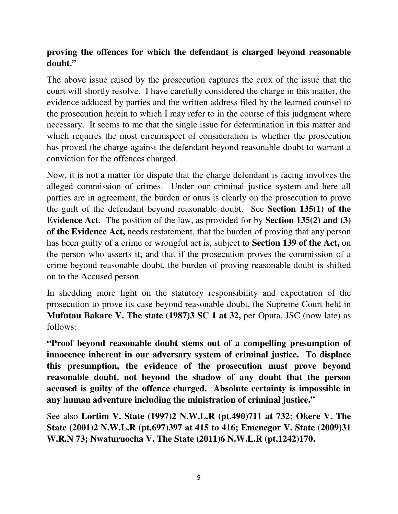### **proving the offences for which the defendant is charged beyond reasonable doubt."**

The above issue raised by the prosecution captures the crux of the issue that the court will shortly resolve. I have carefully considered the charge in this matter, the evidence adduced by parties and the written address filed by the learned counsel to the prosecution herein to which I may refer to in the course of this judgment where necessary. It seems to me that the single issue for determination in this matter and which requires the most circumspect of consideration is whether the prosecution has proved the charge against the defendant beyond reasonable doubt to warrant a conviction for the offences charged.

Now, it is not a matter for dispute that the charge defendant is facing involves the alleged commission of crimes. Under our criminal justice system and here all parties are in agreement, the burden or onus is clearly on the prosecution to prove the guilt of the defendant beyond reasonable doubt. See **Section 135(1) of the Evidence Act.** The position of the law, as provided for by **Section 135(2) and (3) of the Evidence Act,** needs restatement, that the burden of proving that any person has been guilty of a crime or wrongful act is, subject to **Section 139 of the Act,** on the person who asserts it; and that if the prosecution proves the commission of a crime beyond reasonable doubt, the burden of proving reasonable doubt is shifted on to the Accused person.

In shedding more light on the statutory responsibility and expectation of the prosecution to prove its case beyond reasonable doubt, the Supreme Court held in **Mufutau Bakare V. The state (1987)3 SC 1 at 32,** per Oputa, JSC (now late) as follows:

**"Proof beyond reasonable doubt stems out of a compelling presumption of innocence inherent in our adversary system of criminal justice. To displace this presumption, the evidence of the prosecution must prove beyond reasonable doubt, not beyond the shadow of any doubt that the person accused is guilty of the offence charged. Absolute certainty is impossible in any human adventure including the ministration of criminal justice."** 

See also **Lortim V. State (1997)2 N.W.L.R (pt.490)711 at 732; Okere V. The State (2001)2 N.W.L.R (pt.697)397 at 415 to 416; Emenegor V. State (2009)31 W.R.N 73; Nwaturuocha V. The State (2011)6 N.W.L.R (pt.1242)170.**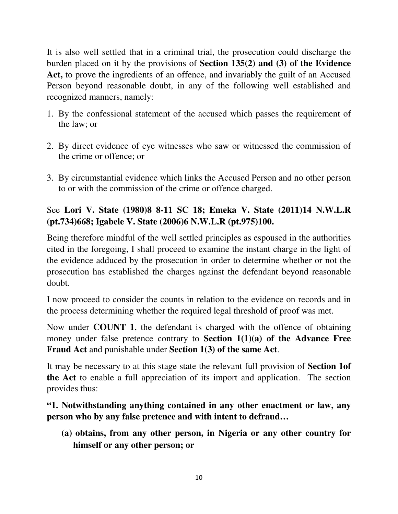It is also well settled that in a criminal trial, the prosecution could discharge the burden placed on it by the provisions of **Section 135(2) and (3) of the Evidence Act,** to prove the ingredients of an offence, and invariably the guilt of an Accused Person beyond reasonable doubt, in any of the following well established and recognized manners, namely:

- 1. By the confessional statement of the accused which passes the requirement of the law; or
- 2. By direct evidence of eye witnesses who saw or witnessed the commission of the crime or offence; or
- 3. By circumstantial evidence which links the Accused Person and no other person to or with the commission of the crime or offence charged.

## See **Lori V. State (1980)8 8-11 SC 18; Emeka V. State (2011)14 N.W.L.R (pt.734)668; Igabele V. State (2006)6 N.W.L.R (pt.975)100.**

Being therefore mindful of the well settled principles as espoused in the authorities cited in the foregoing, I shall proceed to examine the instant charge in the light of the evidence adduced by the prosecution in order to determine whether or not the prosecution has established the charges against the defendant beyond reasonable doubt.

I now proceed to consider the counts in relation to the evidence on records and in the process determining whether the required legal threshold of proof was met.

Now under **COUNT 1**, the defendant is charged with the offence of obtaining money under false pretence contrary to **Section 1(1)(a) of the Advance Free Fraud Act** and punishable under **Section 1(3) of the same Act**.

It may be necessary to at this stage state the relevant full provision of **Section 1of the Act** to enable a full appreciation of its import and application. The section provides thus:

### **"1. Notwithstanding anything contained in any other enactment or law, any person who by any false pretence and with intent to defraud…**

**(a) obtains, from any other person, in Nigeria or any other country for himself or any other person; or**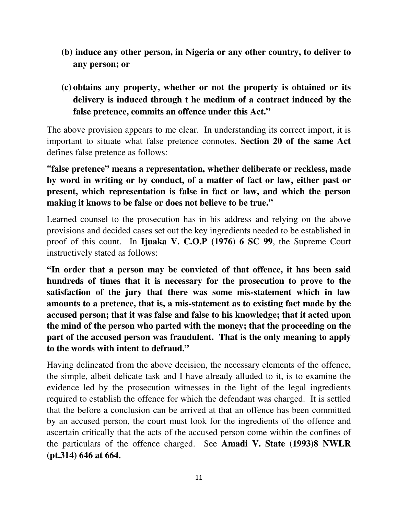- **(b) induce any other person, in Nigeria or any other country, to deliver to any person; or**
- **(c) obtains any property, whether or not the property is obtained or its delivery is induced through t he medium of a contract induced by the false pretence, commits an offence under this Act."**

The above provision appears to me clear. In understanding its correct import, it is important to situate what false pretence connotes. **Section 20 of the same Act** defines false pretence as follows:

**"false pretence" means a representation, whether deliberate or reckless, made by word in writing or by conduct, of a matter of fact or law, either past or present, which representation is false in fact or law, and which the person making it knows to be false or does not believe to be true."** 

Learned counsel to the prosecution has in his address and relying on the above provisions and decided cases set out the key ingredients needed to be established in proof of this count. In **Ijuaka V. C.O.P (1976) 6 SC 99**, the Supreme Court instructively stated as follows:

**"In order that a person may be convicted of that offence, it has been said hundreds of times that it is necessary for the prosecution to prove to the satisfaction of the jury that there was some mis-statement which in law amounts to a pretence, that is, a mis-statement as to existing fact made by the accused person; that it was false and false to his knowledge; that it acted upon the mind of the person who parted with the money; that the proceeding on the part of the accused person was fraudulent. That is the only meaning to apply to the words with intent to defraud."** 

Having delineated from the above decision, the necessary elements of the offence, the simple, albeit delicate task and I have already alluded to it, is to examine the evidence led by the prosecution witnesses in the light of the legal ingredients required to establish the offence for which the defendant was charged. It is settled that the before a conclusion can be arrived at that an offence has been committed by an accused person, the court must look for the ingredients of the offence and ascertain critically that the acts of the accused person come within the confines of the particulars of the offence charged. See **Amadi V. State (1993)8 NWLR (pt.314) 646 at 664.**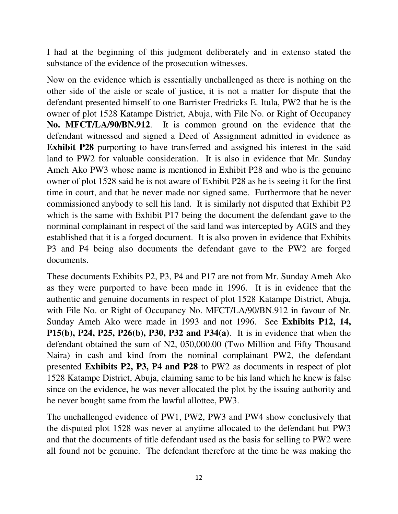I had at the beginning of this judgment deliberately and in extenso stated the substance of the evidence of the prosecution witnesses.

Now on the evidence which is essentially unchallenged as there is nothing on the other side of the aisle or scale of justice, it is not a matter for dispute that the defendant presented himself to one Barrister Fredricks E. Itula, PW2 that he is the owner of plot 1528 Katampe District, Abuja, with File No. or Right of Occupancy **No. MFCT/LA/90/BN.912**. It is common ground on the evidence that the defendant witnessed and signed a Deed of Assignment admitted in evidence as **Exhibit P28** purporting to have transferred and assigned his interest in the said land to PW2 for valuable consideration. It is also in evidence that Mr. Sunday Ameh Ako PW3 whose name is mentioned in Exhibit P28 and who is the genuine owner of plot 1528 said he is not aware of Exhibit P28 as he is seeing it for the first time in court, and that he never made nor signed same. Furthermore that he never commissioned anybody to sell his land. It is similarly not disputed that Exhibit P2 which is the same with Exhibit P17 being the document the defendant gave to the norminal complainant in respect of the said land was intercepted by AGIS and they established that it is a forged document. It is also proven in evidence that Exhibits P3 and P4 being also documents the defendant gave to the PW2 are forged documents.

These documents Exhibits P2, P3, P4 and P17 are not from Mr. Sunday Ameh Ako as they were purported to have been made in 1996. It is in evidence that the authentic and genuine documents in respect of plot 1528 Katampe District, Abuja, with File No. or Right of Occupancy No. MFCT/LA/90/BN.912 in favour of Nr. Sunday Ameh Ako were made in 1993 and not 1996. See **Exhibits P12, 14, P15(b), P24, P25, P26(b), P30, P32 and P34(a)**. It is in evidence that when the defendant obtained the sum of N2, 050,000.00 (Two Million and Fifty Thousand Naira) in cash and kind from the nominal complainant PW2, the defendant presented **Exhibits P2, P3, P4 and P28** to PW2 as documents in respect of plot 1528 Katampe District, Abuja, claiming same to be his land which he knew is false since on the evidence, he was never allocated the plot by the issuing authority and he never bought same from the lawful allottee, PW3.

The unchallenged evidence of PW1, PW2, PW3 and PW4 show conclusively that the disputed plot 1528 was never at anytime allocated to the defendant but PW3 and that the documents of title defendant used as the basis for selling to PW2 were all found not be genuine. The defendant therefore at the time he was making the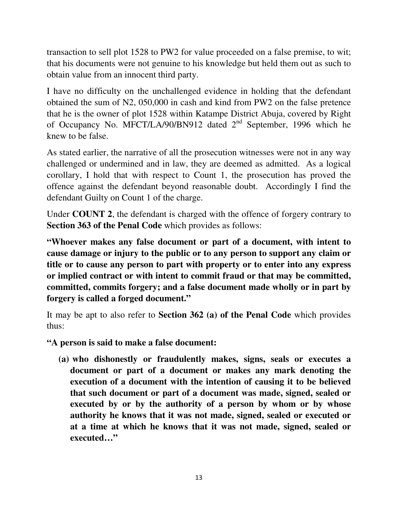transaction to sell plot 1528 to PW2 for value proceeded on a false premise, to wit; that his documents were not genuine to his knowledge but held them out as such to obtain value from an innocent third party.

I have no difficulty on the unchallenged evidence in holding that the defendant obtained the sum of N2, 050,000 in cash and kind from PW2 on the false pretence that he is the owner of plot 1528 within Katampe District Abuja, covered by Right of Occupancy No. MFCT/LA/90/BN912 dated 2nd September, 1996 which he knew to be false.

As stated earlier, the narrative of all the prosecution witnesses were not in any way challenged or undermined and in law, they are deemed as admitted. As a logical corollary, I hold that with respect to Count 1, the prosecution has proved the offence against the defendant beyond reasonable doubt. Accordingly I find the defendant Guilty on Count 1 of the charge.

Under **COUNT 2**, the defendant is charged with the offence of forgery contrary to **Section 363 of the Penal Code** which provides as follows:

**"Whoever makes any false document or part of a document, with intent to cause damage or injury to the public or to any person to support any claim or title or to cause any person to part with property or to enter into any express or implied contract or with intent to commit fraud or that may be committed, committed, commits forgery; and a false document made wholly or in part by forgery is called a forged document."** 

It may be apt to also refer to **Section 362 (a) of the Penal Code** which provides thus:

**"A person is said to make a false document:** 

**(a) who dishonestly or fraudulently makes, signs, seals or executes a document or part of a document or makes any mark denoting the execution of a document with the intention of causing it to be believed that such document or part of a document was made, signed, sealed or executed by or by the authority of a person by whom or by whose authority he knows that it was not made, signed, sealed or executed or at a time at which he knows that it was not made, signed, sealed or executed…"**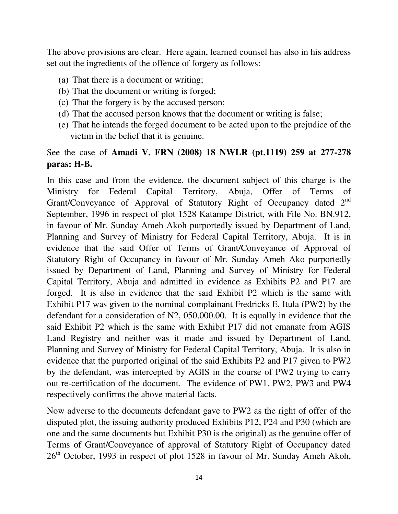The above provisions are clear. Here again, learned counsel has also in his address set out the ingredients of the offence of forgery as follows:

- (a) That there is a document or writing;
- (b) That the document or writing is forged;
- (c) That the forgery is by the accused person;
- (d) That the accused person knows that the document or writing is false;
- (e) That he intends the forged document to be acted upon to the prejudice of the victim in the belief that it is genuine.

### See the case of **Amadi V. FRN (2008) 18 NWLR (pt.1119) 259 at 277-278 paras: H-B.**

In this case and from the evidence, the document subject of this charge is the Ministry for Federal Capital Territory, Abuja, Offer of Terms of Grant/Conveyance of Approval of Statutory Right of Occupancy dated 2nd September, 1996 in respect of plot 1528 Katampe District, with File No. BN.912, in favour of Mr. Sunday Ameh Akoh purportedly issued by Department of Land, Planning and Survey of Ministry for Federal Capital Territory, Abuja. It is in evidence that the said Offer of Terms of Grant/Conveyance of Approval of Statutory Right of Occupancy in favour of Mr. Sunday Ameh Ako purportedly issued by Department of Land, Planning and Survey of Ministry for Federal Capital Territory, Abuja and admitted in evidence as Exhibits P2 and P17 are forged. It is also in evidence that the said Exhibit P2 which is the same with Exhibit P17 was given to the nominal complainant Fredricks E. Itula (PW2) by the defendant for a consideration of N2, 050,000.00. It is equally in evidence that the said Exhibit P2 which is the same with Exhibit P17 did not emanate from AGIS Land Registry and neither was it made and issued by Department of Land, Planning and Survey of Ministry for Federal Capital Territory, Abuja. It is also in evidence that the purported original of the said Exhibits P2 and P17 given to PW2 by the defendant, was intercepted by AGIS in the course of PW2 trying to carry out re-certification of the document. The evidence of PW1, PW2, PW3 and PW4 respectively confirms the above material facts.

Now adverse to the documents defendant gave to PW2 as the right of offer of the disputed plot, the issuing authority produced Exhibits P12, P24 and P30 (which are one and the same documents but Exhibit P30 is the original) as the genuine offer of Terms of Grant/Conveyance of approval of Statutory Right of Occupancy dated 26<sup>th</sup> October, 1993 in respect of plot 1528 in favour of Mr. Sunday Ameh Akoh,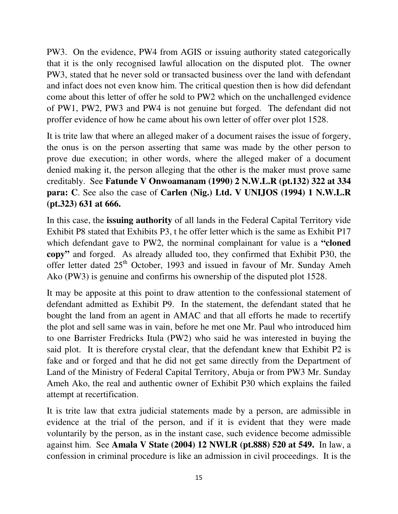PW3. On the evidence, PW4 from AGIS or issuing authority stated categorically that it is the only recognised lawful allocation on the disputed plot. The owner PW3, stated that he never sold or transacted business over the land with defendant and infact does not even know him. The critical question then is how did defendant come about this letter of offer he sold to PW2 which on the unchallenged evidence of PW1, PW2, PW3 and PW4 is not genuine but forged. The defendant did not proffer evidence of how he came about his own letter of offer over plot 1528.

It is trite law that where an alleged maker of a document raises the issue of forgery, the onus is on the person asserting that same was made by the other person to prove due execution; in other words, where the alleged maker of a document denied making it, the person alleging that the other is the maker must prove same creditably. See **Fatunde V Onwoamanam (1990) 2 N.W.L.R (pt.132) 322 at 334 para: C**. See also the case of **Carlen (Nig.) Ltd. V UNIJOS (1994) 1 N.W.L.R (pt.323) 631 at 666.**

In this case, the **issuing authority** of all lands in the Federal Capital Territory vide Exhibit P8 stated that Exhibits P3, t he offer letter which is the same as Exhibit P17 which defendant gave to PW2, the norminal complainant for value is a **"cloned copy"** and forged. As already alluded too, they confirmed that Exhibit P30, the offer letter dated 25th October, 1993 and issued in favour of Mr. Sunday Ameh Ako (PW3) is genuine and confirms his ownership of the disputed plot 1528.

It may be apposite at this point to draw attention to the confessional statement of defendant admitted as Exhibit P9. In the statement, the defendant stated that he bought the land from an agent in AMAC and that all efforts he made to recertify the plot and sell same was in vain, before he met one Mr. Paul who introduced him to one Barrister Fredricks Itula (PW2) who said he was interested in buying the said plot. It is therefore crystal clear, that the defendant knew that Exhibit P2 is fake and or forged and that he did not get same directly from the Department of Land of the Ministry of Federal Capital Territory, Abuja or from PW3 Mr. Sunday Ameh Ako, the real and authentic owner of Exhibit P30 which explains the failed attempt at recertification.

It is trite law that extra judicial statements made by a person, are admissible in evidence at the trial of the person, and if it is evident that they were made voluntarily by the person, as in the instant case, such evidence become admissible against him. See **Amala V State (2004) 12 NWLR (pt.888) 520 at 549.** In law, a confession in criminal procedure is like an admission in civil proceedings. It is the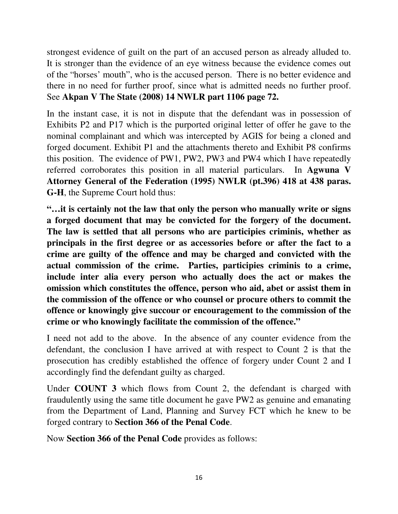strongest evidence of guilt on the part of an accused person as already alluded to. It is stronger than the evidence of an eye witness because the evidence comes out of the "horses' mouth", who is the accused person. There is no better evidence and there in no need for further proof, since what is admitted needs no further proof. See **Akpan V The State (2008) 14 NWLR part 1106 page 72.**

In the instant case, it is not in dispute that the defendant was in possession of Exhibits P2 and P17 which is the purported original letter of offer he gave to the nominal complainant and which was intercepted by AGIS for being a cloned and forged document. Exhibit P1 and the attachments thereto and Exhibit P8 confirms this position. The evidence of PW1, PW2, PW3 and PW4 which I have repeatedly referred corroborates this position in all material particulars. In **Agwuna V Attorney General of the Federation (1995) NWLR (pt.396) 418 at 438 paras. G-H**, the Supreme Court hold thus:

**"…it is certainly not the law that only the person who manually write or signs a forged document that may be convicted for the forgery of the document. The law is settled that all persons who are participies criminis, whether as principals in the first degree or as accessories before or after the fact to a crime are guilty of the offence and may be charged and convicted with the actual commission of the crime. Parties, participies criminis to a crime, include inter alia every person who actually does the act or makes the omission which constitutes the offence, person who aid, abet or assist them in the commission of the offence or who counsel or procure others to commit the offence or knowingly give succour or encouragement to the commission of the crime or who knowingly facilitate the commission of the offence."** 

I need not add to the above. In the absence of any counter evidence from the defendant, the conclusion I have arrived at with respect to Count 2 is that the prosecution has credibly established the offence of forgery under Count 2 and I accordingly find the defendant guilty as charged.

Under **COUNT 3** which flows from Count 2, the defendant is charged with fraudulently using the same title document he gave PW2 as genuine and emanating from the Department of Land, Planning and Survey FCT which he knew to be forged contrary to **Section 366 of the Penal Code**.

Now **Section 366 of the Penal Code** provides as follows: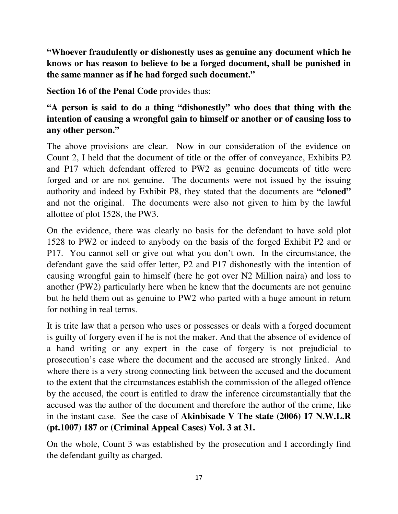**"Whoever fraudulently or dishonestly uses as genuine any document which he knows or has reason to believe to be a forged document, shall be punished in the same manner as if he had forged such document."**

**Section 16 of the Penal Code** provides thus:

## **"A person is said to do a thing "dishonestly" who does that thing with the intention of causing a wrongful gain to himself or another or of causing loss to any other person."**

The above provisions are clear. Now in our consideration of the evidence on Count 2, I held that the document of title or the offer of conveyance, Exhibits P2 and P17 which defendant offered to PW2 as genuine documents of title were forged and or are not genuine. The documents were not issued by the issuing authority and indeed by Exhibit P8, they stated that the documents are **"cloned"** and not the original. The documents were also not given to him by the lawful allottee of plot 1528, the PW3.

On the evidence, there was clearly no basis for the defendant to have sold plot 1528 to PW2 or indeed to anybody on the basis of the forged Exhibit P2 and or P17. You cannot sell or give out what you don't own. In the circumstance, the defendant gave the said offer letter, P2 and P17 dishonestly with the intention of causing wrongful gain to himself (here he got over N2 Million naira) and loss to another (PW2) particularly here when he knew that the documents are not genuine but he held them out as genuine to PW2 who parted with a huge amount in return for nothing in real terms.

It is trite law that a person who uses or possesses or deals with a forged document is guilty of forgery even if he is not the maker. And that the absence of evidence of a hand writing or any expert in the case of forgery is not prejudicial to prosecution's case where the document and the accused are strongly linked. And where there is a very strong connecting link between the accused and the document to the extent that the circumstances establish the commission of the alleged offence by the accused, the court is entitled to draw the inference circumstantially that the accused was the author of the document and therefore the author of the crime, like in the instant case. See the case of **Akinbisade V The state (2006) 17 N.W.L.R (pt.1007) 187 or (Criminal Appeal Cases) Vol. 3 at 31.** 

On the whole, Count 3 was established by the prosecution and I accordingly find the defendant guilty as charged.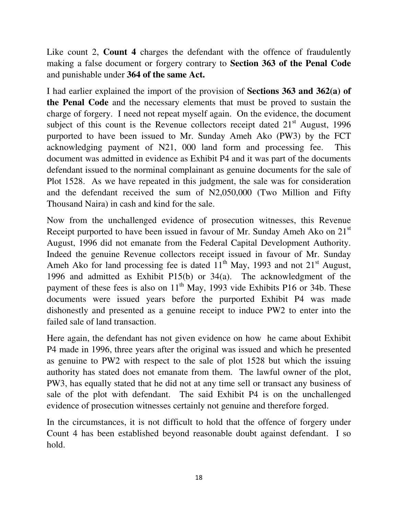Like count 2, **Count 4** charges the defendant with the offence of fraudulently making a false document or forgery contrary to **Section 363 of the Penal Code** and punishable under **364 of the same Act.**

I had earlier explained the import of the provision of **Sections 363 and 362(a) of the Penal Code** and the necessary elements that must be proved to sustain the charge of forgery. I need not repeat myself again. On the evidence, the document subject of this count is the Revenue collectors receipt dated  $21<sup>st</sup>$  August, 1996 purported to have been issued to Mr. Sunday Ameh Ako (PW3) by the FCT acknowledging payment of N21, 000 land form and processing fee. This document was admitted in evidence as Exhibit P4 and it was part of the documents defendant issued to the norminal complainant as genuine documents for the sale of Plot 1528. As we have repeated in this judgment, the sale was for consideration and the defendant received the sum of N2,050,000 (Two Million and Fifty Thousand Naira) in cash and kind for the sale.

Now from the unchallenged evidence of prosecution witnesses, this Revenue Receipt purported to have been issued in favour of Mr. Sunday Ameh Ako on 21<sup>st</sup> August, 1996 did not emanate from the Federal Capital Development Authority. Indeed the genuine Revenue collectors receipt issued in favour of Mr. Sunday Ameh Ako for land processing fee is dated  $11<sup>th</sup>$  May, 1993 and not 21<sup>st</sup> August, 1996 and admitted as Exhibit P15(b) or 34(a). The acknowledgment of the payment of these fees is also on  $11<sup>th</sup>$  May, 1993 vide Exhibits P16 or 34b. These documents were issued years before the purported Exhibit P4 was made dishonestly and presented as a genuine receipt to induce PW2 to enter into the failed sale of land transaction.

Here again, the defendant has not given evidence on how he came about Exhibit P4 made in 1996, three years after the original was issued and which he presented as genuine to PW2 with respect to the sale of plot 1528 but which the issuing authority has stated does not emanate from them. The lawful owner of the plot, PW3, has equally stated that he did not at any time sell or transact any business of sale of the plot with defendant. The said Exhibit P4 is on the unchallenged evidence of prosecution witnesses certainly not genuine and therefore forged.

In the circumstances, it is not difficult to hold that the offence of forgery under Count 4 has been established beyond reasonable doubt against defendant. I so hold.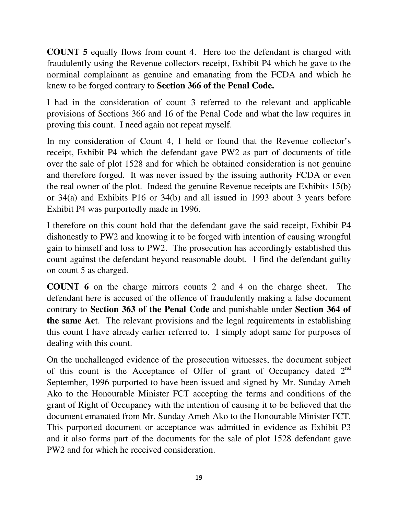**COUNT 5** equally flows from count 4. Here too the defendant is charged with fraudulently using the Revenue collectors receipt, Exhibit P4 which he gave to the norminal complainant as genuine and emanating from the FCDA and which he knew to be forged contrary to **Section 366 of the Penal Code.**

I had in the consideration of count 3 referred to the relevant and applicable provisions of Sections 366 and 16 of the Penal Code and what the law requires in proving this count. I need again not repeat myself.

In my consideration of Count 4, I held or found that the Revenue collector's receipt, Exhibit P4 which the defendant gave PW2 as part of documents of title over the sale of plot 1528 and for which he obtained consideration is not genuine and therefore forged. It was never issued by the issuing authority FCDA or even the real owner of the plot. Indeed the genuine Revenue receipts are Exhibits 15(b) or 34(a) and Exhibits P16 or 34(b) and all issued in 1993 about 3 years before Exhibit P4 was purportedly made in 1996.

I therefore on this count hold that the defendant gave the said receipt, Exhibit P4 dishonestly to PW2 and knowing it to be forged with intention of causing wrongful gain to himself and loss to PW2. The prosecution has accordingly established this count against the defendant beyond reasonable doubt. I find the defendant guilty on count 5 as charged.

**COUNT 6** on the charge mirrors counts 2 and 4 on the charge sheet. The defendant here is accused of the offence of fraudulently making a false document contrary to **Section 363 of the Penal Code** and punishable under **Section 364 of the same Ac**t. The relevant provisions and the legal requirements in establishing this count I have already earlier referred to. I simply adopt same for purposes of dealing with this count.

On the unchallenged evidence of the prosecution witnesses, the document subject of this count is the Acceptance of Offer of grant of Occupancy dated  $2<sup>nd</sup>$ September, 1996 purported to have been issued and signed by Mr. Sunday Ameh Ako to the Honourable Minister FCT accepting the terms and conditions of the grant of Right of Occupancy with the intention of causing it to be believed that the document emanated from Mr. Sunday Ameh Ako to the Honourable Minister FCT. This purported document or acceptance was admitted in evidence as Exhibit P3 and it also forms part of the documents for the sale of plot 1528 defendant gave PW2 and for which he received consideration.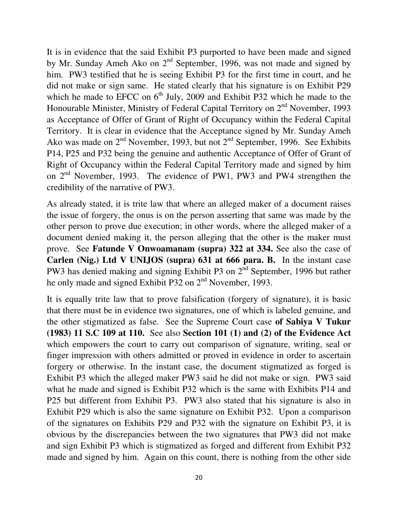It is in evidence that the said Exhibit P3 purported to have been made and signed by Mr. Sunday Ameh Ako on  $2<sup>nd</sup>$  September, 1996, was not made and signed by him. PW3 testified that he is seeing Exhibit P3 for the first time in court, and he did not make or sign same. He stated clearly that his signature is on Exhibit P29 which he made to EFCC on  $6<sup>th</sup>$  July, 2009 and Exhibit P32 which he made to the Honourable Minister, Ministry of Federal Capital Territory on 2<sup>nd</sup> November, 1993 as Acceptance of Offer of Grant of Right of Occupancy within the Federal Capital Territory. It is clear in evidence that the Acceptance signed by Mr. Sunday Ameh Ako was made on  $2<sup>nd</sup>$  November, 1993, but not  $2<sup>nd</sup>$  September, 1996. See Exhibits P14, P25 and P32 being the genuine and authentic Acceptance of Offer of Grant of Right of Occupancy within the Federal Capital Territory made and signed by him on 2<sup>nd</sup> November, 1993. The evidence of PW1, PW3 and PW4 strengthen the credibility of the narrative of PW3.

As already stated, it is trite law that where an alleged maker of a document raises the issue of forgery, the onus is on the person asserting that same was made by the other person to prove due execution; in other words, where the alleged maker of a document denied making it, the person alleging that the other is the maker must prove. See **Fatunde V Onwoamanam (supra) 322 at 334.** See also the case of **Carlen (Nig.) Ltd V UNIJOS (supra) 631 at 666 para. B.** In the instant case PW3 has denied making and signing Exhibit P3 on 2<sup>nd</sup> September, 1996 but rather he only made and signed Exhibit P32 on 2<sup>nd</sup> November, 1993.

It is equally trite law that to prove falsification (forgery of signature), it is basic that there must be in evidence two signatures, one of which is labeled genuine, and the other stigmatized as false. See the Supreme Court case **of Sabiya V Tukur (1983) 11 S.C 109 at 110.** See also **Section 101 (1) and (2) of the Evidence Act**  which empowers the court to carry out comparison of signature, writing, seal or finger impression with others admitted or proved in evidence in order to ascertain forgery or otherwise. In the instant case, the document stigmatized as forged is Exhibit P3 which the alleged maker PW3 said he did not make or sign. PW3 said what he made and signed is Exhibit P32 which is the same with Exhibits P14 and P25 but different from Exhibit P3. PW3 also stated that his signature is also in Exhibit P29 which is also the same signature on Exhibit P32. Upon a comparison of the signatures on Exhibits P29 and P32 with the signature on Exhibit P3, it is obvious by the discrepancies between the two signatures that PW3 did not make and sign Exhibit P3 which is stigmatized as forged and different from Exhibit P32 made and signed by him. Again on this count, there is nothing from the other side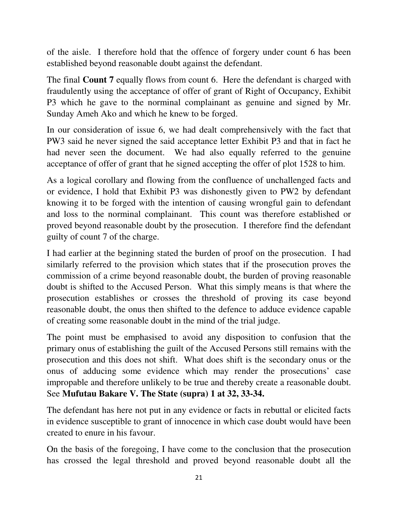of the aisle. I therefore hold that the offence of forgery under count 6 has been established beyond reasonable doubt against the defendant.

The final **Count 7** equally flows from count 6. Here the defendant is charged with fraudulently using the acceptance of offer of grant of Right of Occupancy, Exhibit P3 which he gave to the norminal complainant as genuine and signed by Mr. Sunday Ameh Ako and which he knew to be forged.

In our consideration of issue 6, we had dealt comprehensively with the fact that PW3 said he never signed the said acceptance letter Exhibit P3 and that in fact he had never seen the document. We had also equally referred to the genuine acceptance of offer of grant that he signed accepting the offer of plot 1528 to him.

As a logical corollary and flowing from the confluence of unchallenged facts and or evidence, I hold that Exhibit P3 was dishonestly given to PW2 by defendant knowing it to be forged with the intention of causing wrongful gain to defendant and loss to the norminal complainant. This count was therefore established or proved beyond reasonable doubt by the prosecution. I therefore find the defendant guilty of count 7 of the charge.

I had earlier at the beginning stated the burden of proof on the prosecution. I had similarly referred to the provision which states that if the prosecution proves the commission of a crime beyond reasonable doubt, the burden of proving reasonable doubt is shifted to the Accused Person. What this simply means is that where the prosecution establishes or crosses the threshold of proving its case beyond reasonable doubt, the onus then shifted to the defence to adduce evidence capable of creating some reasonable doubt in the mind of the trial judge.

The point must be emphasised to avoid any disposition to confusion that the primary onus of establishing the guilt of the Accused Persons still remains with the prosecution and this does not shift. What does shift is the secondary onus or the onus of adducing some evidence which may render the prosecutions' case impropable and therefore unlikely to be true and thereby create a reasonable doubt. See **Mufutau Bakare V. The State (supra) 1 at 32, 33-34.**

The defendant has here not put in any evidence or facts in rebuttal or elicited facts in evidence susceptible to grant of innocence in which case doubt would have been created to enure in his favour.

On the basis of the foregoing, I have come to the conclusion that the prosecution has crossed the legal threshold and proved beyond reasonable doubt all the